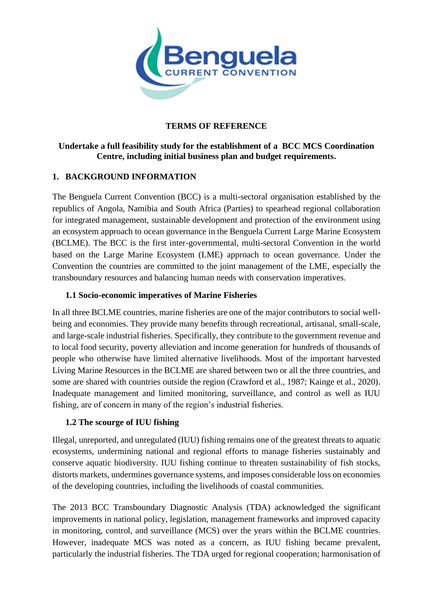

# **TERMS OF REFERENCE**

# **Undertake a full feasibility study for the establishment of a BCC MCS Coordination Centre, including initial business plan and budget requirements.**

# **1. BACKGROUND INFORMATION**

The Benguela Current Convention (BCC) is a multi-sectoral organisation established by the republics of Angola, Namibia and South Africa (Parties) to spearhead regional collaboration for integrated management, sustainable development and protection of the environment using an ecosystem approach to ocean governance in the Benguela Current Large Marine Ecosystem (BCLME). The BCC is the first inter-governmental, multi-sectoral Convention in the world based on the Large Marine Ecosystem (LME) approach to ocean governance. Under the Convention the countries are committed to the joint management of the LME, especially the transboundary resources and balancing human needs with conservation imperatives.

## **1.1 Socio-economic imperatives of Marine Fisheries**

In all three BCLME countries, marine fisheries are one of the major contributors to social wellbeing and economies. They provide many benefits through recreational, artisanal, small-scale, and large-scale industrial fisheries. Specifically, they contribute to the government revenue and to local food security, poverty alleviation and income generation for hundreds of thousands of people who otherwise have limited alternative livelihoods. Most of the important harvested Living Marine Resources in the BCLME are shared between two or all the three countries, and some are shared with countries outside the region (Crawford et al., 1987; Kainge et al., 2020). Inadequate management and limited monitoring, surveillance, and control as well as IUU fishing, are of concern in many of the region's industrial fisheries.

# **1.2 The scourge of IUU fishing**

Illegal, unreported, and unregulated (IUU) fishing remains one of the greatest threats to aquatic ecosystems, undermining national and regional efforts to manage fisheries sustainably and conserve aquatic biodiversity. IUU fishing continue to threaten sustainability of fish stocks, distorts markets, undermines governance systems, and imposes considerable loss on economies of the developing countries, including the livelihoods of coastal communities.

The 2013 BCC Transboundary Diagnostic Analysis (TDA) acknowledged the significant improvements in national policy, legislation, management frameworks and improved capacity in monitoring, control, and surveillance (MCS) over the years within the BCLME countries. However, inadequate MCS was noted as a concern, as IUU fishing became prevalent, particularly the industrial fisheries. The TDA urged for regional cooperation; harmonisation of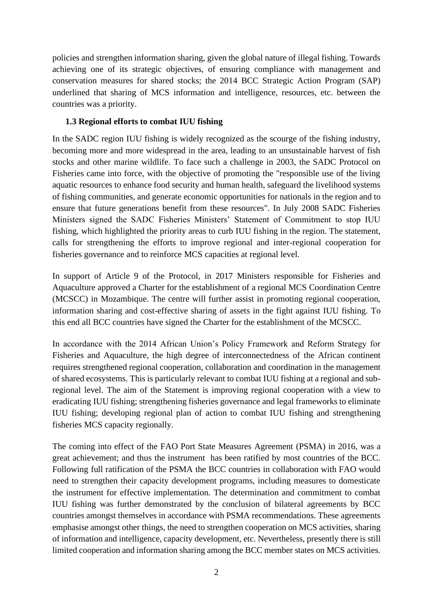policies and strengthen information sharing, given the global nature of illegal fishing. Towards achieving one of its strategic objectives, of ensuring compliance with management and conservation measures for shared stocks; the 2014 BCC Strategic Action Program (SAP) underlined that sharing of MCS information and intelligence, resources, etc. between the countries was a priority.

## **1.3 Regional efforts to combat IUU fishing**

In the SADC region IUU fishing is widely recognized as the scourge of the fishing industry, becoming more and more widespread in the area, leading to an unsustainable harvest of fish stocks and other marine wildlife. To face such a challenge in 2003, the SADC Protocol on Fisheries came into force, with the objective of promoting the "responsible use of the living aquatic resources to enhance food security and human health, safeguard the livelihood systems of fishing communities, and generate economic opportunities for nationals in the region and to ensure that future generations benefit from these resources". In July 2008 SADC Fisheries Ministers signed the SADC Fisheries Ministers' Statement of Commitment to stop IUU fishing, which highlighted the priority areas to curb IUU fishing in the region. The statement, calls for strengthening the efforts to improve regional and inter-regional cooperation for fisheries governance and to reinforce MCS capacities at regional level.

In support of Article 9 of the Protocol, in 2017 Ministers responsible for Fisheries and Aquaculture approved a Charter for the establishment of a regional MCS Coordination Centre (MCSCC) in Mozambique. The centre will further assist in promoting regional cooperation, information sharing and cost-effective sharing of assets in the fight against IUU fishing. To this end all BCC countries have signed the Charter for the establishment of the MCSCC.

In accordance with the 2014 African Union's Policy Framework and Reform Strategy for Fisheries and Aquaculture, the high degree of interconnectedness of the African continent requires strengthened regional cooperation, collaboration and coordination in the management of shared ecosystems. This is particularly relevant to combat IUU fishing at a regional and subregional level. The aim of the Statement is improving regional cooperation with a view to eradicating IUU fishing; strengthening fisheries governance and legal frameworks to eliminate IUU fishing; developing regional plan of action to combat IUU fishing and strengthening fisheries MCS capacity regionally.

The coming into effect of the FAO Port State Measures Agreement (PSMA) in 2016, was a great achievement; and thus the instrument has been ratified by most countries of the BCC. Following full ratification of the PSMA the BCC countries in collaboration with FAO would need to strengthen their capacity development programs, including measures to domesticate the instrument for effective implementation. The determination and commitment to combat IUU fishing was further demonstrated by the conclusion of bilateral agreements by BCC countries amongst themselves in accordance with PSMA recommendations. These agreements emphasise amongst other things, the need to strengthen cooperation on MCS activities, sharing of information and intelligence, capacity development, etc. Nevertheless, presently there is still limited cooperation and information sharing among the BCC member states on MCS activities.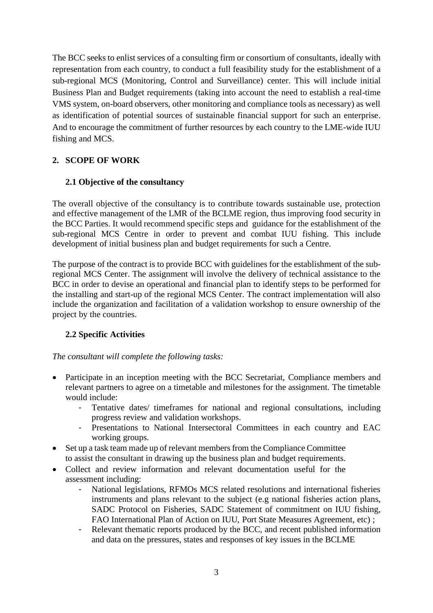The BCC seeks to enlist services of a consulting firm or consortium of consultants, ideally with representation from each country, to conduct a full feasibility study for the establishment of a sub-regional MCS (Monitoring, Control and Surveillance) center. This will include initial Business Plan and Budget requirements (taking into account the need to establish a real-time VMS system, on-board observers, other monitoring and compliance tools as necessary) as well as identification of potential sources of sustainable financial support for such an enterprise. And to encourage the commitment of further resources by each country to the LME-wide IUU fishing and MCS.

# **2. SCOPE OF WORK**

## **2.1 Objective of the consultancy**

The overall objective of the consultancy is to contribute towards sustainable use, protection and effective management of the LMR of the BCLME region, thus improving food security in the BCC Parties. It would recommend specific steps and guidance for the establishment of the sub-regional MCS Centre in order to prevent and combat IUU fishing. This include development of initial business plan and budget requirements for such a Centre.

The purpose of the contract is to provide BCC with guidelines for the establishment of the subregional MCS Center. The assignment will involve the delivery of technical assistance to the BCC in order to devise an operational and financial plan to identify steps to be performed for the installing and start-up of the regional MCS Center. The contract implementation will also include the organization and facilitation of a validation workshop to ensure ownership of the project by the countries.

## **2.2 Specific Activities**

*The consultant will complete the following tasks:* 

- Participate in an inception meeting with the BCC Secretariat, Compliance members and relevant partners to agree on a timetable and milestones for the assignment. The timetable would include:
	- Tentative dates/ timeframes for national and regional consultations, including progress review and validation workshops.
	- Presentations to National Intersectoral Committees in each country and EAC working groups.
- Set up a task team made up of relevant members from the Compliance Committee to assist the consultant in drawing up the business plan and budget requirements.
- Collect and review information and relevant documentation useful for the assessment including:
	- National legislations, RFMOs MCS related resolutions and international fisheries instruments and plans relevant to the subject (e.g national fisheries action plans, SADC Protocol on Fisheries, SADC Statement of commitment on IUU fishing, FAO International Plan of Action on IUU, Port State Measures Agreement, etc) ;
	- Relevant thematic reports produced by the BCC, and recent published information and data on the pressures, states and responses of key issues in the BCLME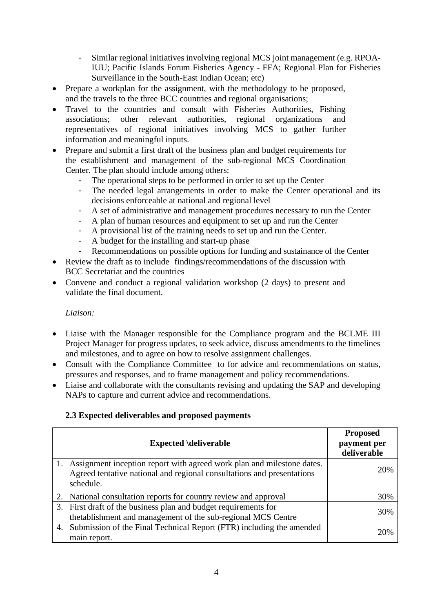- Similar regional initiatives involving regional MCS joint management (e.g. RPOA-IUU; Pacific Islands Forum Fisheries Agency - FFA; Regional Plan for Fisheries Surveillance in the South-East Indian Ocean; etc)
- Prepare a workplan for the assignment, with the methodology to be proposed, and the travels to the three BCC countries and regional organisations;
- Travel to the countries and consult with Fisheries Authorities, Fishing associations; other relevant authorities, regional organizations and representatives of regional initiatives involving MCS to gather further information and meaningful inputs.
- Prepare and submit a first draft of the business plan and budget requirements for the establishment and management of the sub-regional MCS Coordination Center. The plan should include among others:
	- The operational steps to be performed in order to set up the Center
	- The needed legal arrangements in order to make the Center operational and its decisions enforceable at national and regional level
	- A set of administrative and management procedures necessary to run the Center
	- A plan of human resources and equipment to set up and run the Center
	- A provisional list of the training needs to set up and run the Center.
	- A budget for the installing and start-up phase
	- Recommendations on possible options for funding and sustainance of the Center
- Review the draft as to include findings/recommendations of the discussion with BCC Secretariat and the countries
- Convene and conduct a regional validation workshop (2 days) to present and validate the final document.

## *Liaison:*

- Liaise with the Manager responsible for the Compliance program and the BCLME III Project Manager for progress updates, to seek advice, discuss amendments to the timelines and milestones, and to agree on how to resolve assignment challenges.
- Consult with the Compliance Committee to for advice and recommendations on status, pressures and responses, and to frame management and policy recommendations.
- Liaise and collaborate with the consultants revising and updating the SAP and developing NAPs to capture and current advice and recommendations.

# **2.3 Expected deliverables and proposed payments**

| <b>Expected \deliverable</b>                                                                                                                                  | <b>Proposed</b><br>payment per<br>deliverable |
|---------------------------------------------------------------------------------------------------------------------------------------------------------------|-----------------------------------------------|
| Assignment inception report with agreed work plan and milestone dates.<br>Agreed tentative national and regional consultations and presentations<br>schedule. | 20%                                           |
| 2. National consultation reports for country review and approval                                                                                              | 30%                                           |
| 3. First draft of the business plan and budget requirements for<br>thetablishment and management of the sub-regional MCS Centre                               | 30%                                           |
| 4. Submission of the Final Technical Report (FTR) including the amended<br>main report.                                                                       | 20%                                           |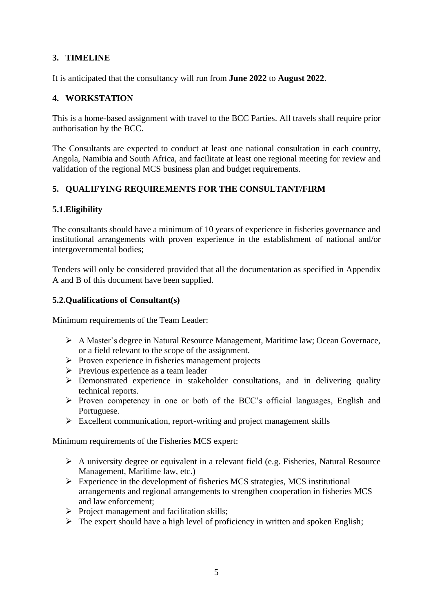# **3. TIMELINE**

It is anticipated that the consultancy will run from **June 2022** to **August 2022**.

# **4. WORKSTATION**

This is a home-based assignment with travel to the BCC Parties. All travels shall require prior authorisation by the BCC.

The Consultants are expected to conduct at least one national consultation in each country, Angola, Namibia and South Africa, and facilitate at least one regional meeting for review and validation of the regional MCS business plan and budget requirements.

# **5. QUALIFYING REQUIREMENTS FOR THE CONSULTANT/FIRM**

# **5.1.Eligibility**

The consultants should have a minimum of 10 years of experience in fisheries governance and institutional arrangements with proven experience in the establishment of national and/or intergovernmental bodies;

Tenders will only be considered provided that all the documentation as specified in Appendix A and B of this document have been supplied.

# **5.2.Qualifications of Consultant(s)**

Minimum requirements of the Team Leader:

- ➢ A Master's degree in Natural Resource Management, Maritime law; Ocean Governace, or a field relevant to the scope of the assignment.
- ➢ Proven experience in fisheries management projects
- ➢ Previous experience as a team leader
- ➢ Demonstrated experience in stakeholder consultations, and in delivering quality technical reports.
- ➢ Proven competency in one or both of the BCC's official languages, English and Portuguese.
- ➢ Excellent communication, report-writing and project management skills

Minimum requirements of the Fisheries MCS expert:

- ➢ A university degree or equivalent in a relevant field (e.g. Fisheries, Natural Resource Management, Maritime law, etc.)
- ➢ Experience in the development of fisheries MCS strategies, MCS institutional arrangements and regional arrangements to strengthen cooperation in fisheries MCS and law enforcement;
- ➢ Project management and facilitation skills;
- $\triangleright$  The expert should have a high level of proficiency in written and spoken English;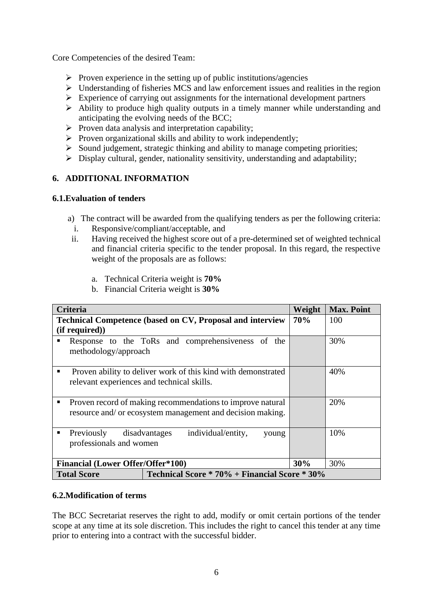Core Competencies of the desired Team:

- $\triangleright$  Proven experience in the setting up of public institutions/agencies
- ➢ Understanding of fisheries MCS and law enforcement issues and realities in the region
- ➢ Experience of carrying out assignments for the international development partners
- ➢ Ability to produce high quality outputs in a timely manner while understanding and anticipating the evolving needs of the BCC;
- $\triangleright$  Proven data analysis and interpretation capability;
- ➢ Proven organizational skills and ability to work independently;
- ➢ Sound judgement, strategic thinking and ability to manage competing priorities;
- $\triangleright$  Display cultural, gender, nationality sensitivity, understanding and adaptability;

## **6. ADDITIONAL INFORMATION**

#### **6.1.Evaluation of tenders**

- a) The contract will be awarded from the qualifying tenders as per the following criteria:
- i. Responsive/compliant/acceptable, and
- ii. Having received the highest score out of a pre-determined set of weighted technical and financial criteria specific to the tender proposal. In this regard, the respective weight of the proposals are as follows:
	- a. Technical Criteria weight is **70%**
	- b. Financial Criteria weight is **30%**

| <b>Criteria</b>                                                                                                               | Weight                                            | <b>Max. Point</b> |     |
|-------------------------------------------------------------------------------------------------------------------------------|---------------------------------------------------|-------------------|-----|
| <b>Technical Competence (based on CV, Proposal and interview</b>                                                              |                                                   |                   | 100 |
| (if required))                                                                                                                |                                                   |                   |     |
| ٠<br>methodology/approach                                                                                                     | Response to the ToRs and comprehensiveness of the |                   | 30% |
| Proven ability to deliver work of this kind with demonstrated<br>٠<br>relevant experiences and technical skills.              |                                                   |                   | 40% |
| Proven record of making recommendations to improve natural<br>п<br>resource and/ or ecosystem management and decision making. |                                                   |                   | 20% |
| Previously<br>٠<br>professionals and women                                                                                    | individual/entity,<br>disadvantages<br>young      |                   | 10% |
| <b>Financial (Lower Offer/Offer*100)</b>                                                                                      | 30%                                               | 30%               |     |
| Technical Score * 70% + Financial Score * 30%<br><b>Total Score</b>                                                           |                                                   |                   |     |

#### **6.2.Modification of terms**

The BCC Secretariat reserves the right to add, modify or omit certain portions of the tender scope at any time at its sole discretion. This includes the right to cancel this tender at any time prior to entering into a contract with the successful bidder.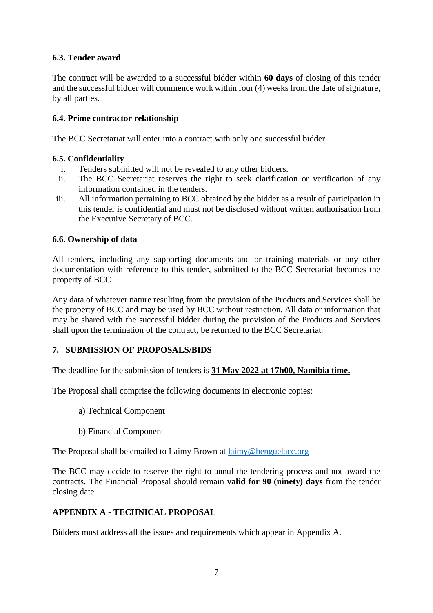# **6.3. Tender award**

The contract will be awarded to a successful bidder within **60 days** of closing of this tender and the successful bidder will commence work within four (4) weeks from the date of signature, by all parties.

## **6.4. Prime contractor relationship**

The BCC Secretariat will enter into a contract with only one successful bidder.

## **6.5. Confidentiality**

- i. Tenders submitted will not be revealed to any other bidders.
- ii. The BCC Secretariat reserves the right to seek clarification or verification of any information contained in the tenders.
- iii. All information pertaining to BCC obtained by the bidder as a result of participation in this tender is confidential and must not be disclosed without written authorisation from the Executive Secretary of BCC.

#### **6.6. Ownership of data**

All tenders, including any supporting documents and or training materials or any other documentation with reference to this tender, submitted to the BCC Secretariat becomes the property of BCC.

Any data of whatever nature resulting from the provision of the Products and Services shall be the property of BCC and may be used by BCC without restriction. All data or information that may be shared with the successful bidder during the provision of the Products and Services shall upon the termination of the contract, be returned to the BCC Secretariat.

## **7. SUBMISSION OF PROPOSALS/BIDS**

The deadline for the submission of tenders is **31 May 2022 at 17h00, Namibia time.**

The Proposal shall comprise the following documents in electronic copies:

- a) Technical Component
- b) Financial Component

The Proposal shall be emailed to Laimy Brown at [laimy@benguelacc.org](mailto:laimy@benguelacc.org)

The BCC may decide to reserve the right to annul the tendering process and not award the contracts. The Financial Proposal should remain **valid for 90 (ninety) days** from the tender closing date.

## **APPENDIX A - TECHNICAL PROPOSAL**

Bidders must address all the issues and requirements which appear in Appendix A.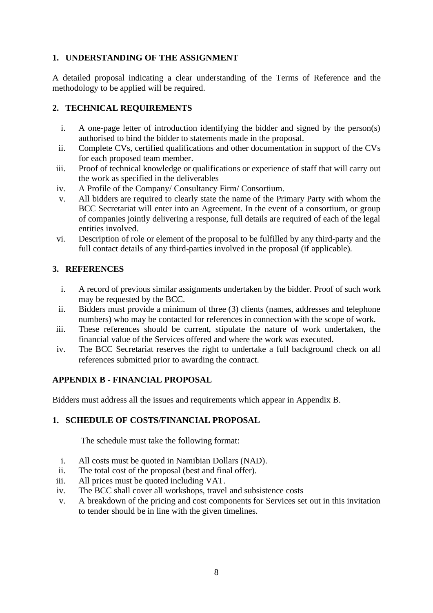# **1. UNDERSTANDING OF THE ASSIGNMENT**

A detailed proposal indicating a clear understanding of the Terms of Reference and the methodology to be applied will be required.

# **2. TECHNICAL REQUIREMENTS**

- i. A one-page letter of introduction identifying the bidder and signed by the person(s) authorised to bind the bidder to statements made in the proposal.
- ii. Complete CVs, certified qualifications and other documentation in support of the CVs for each proposed team member.
- iii. Proof of technical knowledge or qualifications or experience of staff that will carry out the work as specified in the deliverables
- iv. A Profile of the Company/ Consultancy Firm/ Consortium.
- v. All bidders are required to clearly state the name of the Primary Party with whom the BCC Secretariat will enter into an Agreement. In the event of a consortium, or group of companies jointly delivering a response, full details are required of each of the legal entities involved.
- vi. Description of role or element of the proposal to be fulfilled by any third-party and the full contact details of any third-parties involved in the proposal (if applicable).

## **3. REFERENCES**

- i. A record of previous similar assignments undertaken by the bidder. Proof of such work may be requested by the BCC.
- ii. Bidders must provide a minimum of three (3) clients (names, addresses and telephone numbers) who may be contacted for references in connection with the scope of work.
- iii. These references should be current, stipulate the nature of work undertaken, the financial value of the Services offered and where the work was executed.
- iv. The BCC Secretariat reserves the right to undertake a full background check on all references submitted prior to awarding the contract.

## **APPENDIX B - FINANCIAL PROPOSAL**

Bidders must address all the issues and requirements which appear in Appendix B.

## **1. SCHEDULE OF COSTS/FINANCIAL PROPOSAL**

The schedule must take the following format:

- i. All costs must be quoted in Namibian Dollars (NAD).
- ii. The total cost of the proposal (best and final offer).
- iii. All prices must be quoted including VAT.
- iv. The BCC shall cover all workshops, travel and subsistence costs
- v. A breakdown of the pricing and cost components for Services set out in this invitation to tender should be in line with the given timelines.